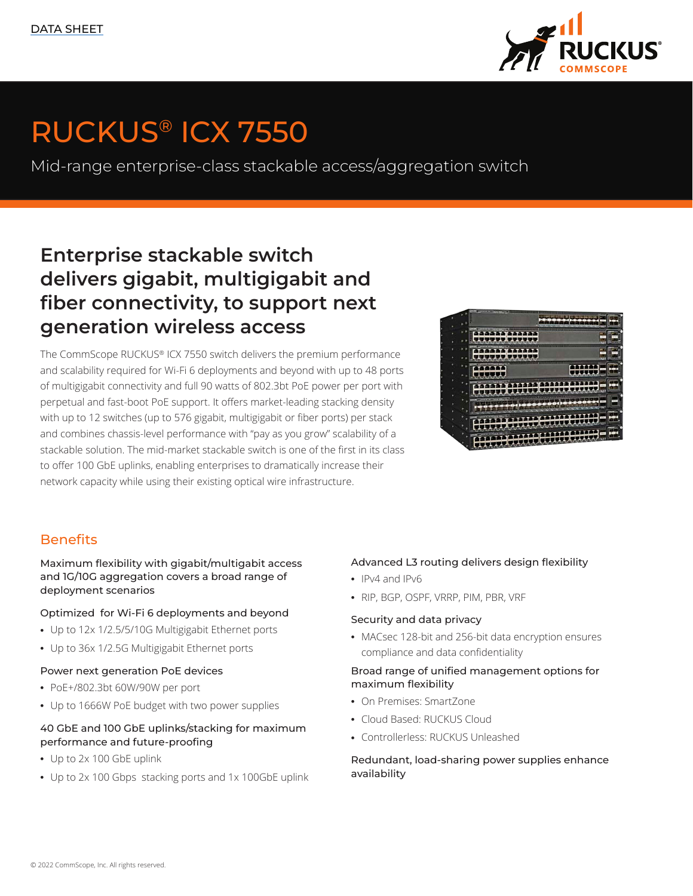

# RUCKUS® ICX 7550

Mid-range enterprise-class stackable access/aggregation switch

## Enterprise stackable switch delivers gigabit, multigigabit and fiber connectivity, to support next generation wireless access

The CommScope RUCKUS® ICX 7550 switch delivers the premium performance and scalability required for Wi-Fi 6 deployments and beyond with up to 48 ports of multigigabit connectivity and full 90 watts of 802.3bt PoE power per port with perpetual and fast-boot PoE support. It offers market-leading stacking density with up to 12 switches (up to 576 gigabit, multigigabit or fiber ports) per stack and combines chassis-level performance with "pay as you grow" scalability of a stackable solution. The mid-market stackable switch is one of the first in its class to offer 100 GbE uplinks, enabling enterprises to dramatically increase their network capacity while using their existing optical wire infrastructure.

| ٠ |   |                                   |  |
|---|---|-----------------------------------|--|
|   |   | 1111111112011111111               |  |
|   |   |                                   |  |
|   |   | a a                               |  |
|   |   | <b>SEPPOREEMPHT</b>               |  |
|   | ٠ |                                   |  |
|   |   |                                   |  |
|   |   | <b>RANGERIAL</b><br>$\frac{1}{2}$ |  |
|   |   | <b>SHIP ATTOL</b>                 |  |
|   |   |                                   |  |
|   |   |                                   |  |
|   |   |                                   |  |

### **Benefits**

Maximum flexibility with gigabit/multigabit access and 1G/10G aggregation covers a broad range of deployment scenarios

### Optimized for Wi-Fi 6 deployments and beyond

- Up to 12x 1/2.5/5/10G Multigigabit Ethernet ports
- Up to 36x 1/2.5G Multigigabit Ethernet ports

#### Power next generation PoE devices

- PoE+/802.3bt 60W/90W per port
- Up to 1666W PoE budget with two power supplies

### 40 GbE and 100 GbE uplinks/stacking for maximum performance and future-proofing

- Up to 2x 100 GbE uplink
- Up to 2x 100 Gbps stacking ports and 1x 100GbE uplink

### Advanced L3 routing delivers design flexibility

- IPv4 and IPv6
- RIP, BGP, OSPF, VRRP, PIM, PBR, VRF

#### Security and data privacy

• MACsec 128-bit and 256-bit data encryption ensures compliance and data confidentiality

### Broad range of unified management options for maximum flexibility

- On Premises: SmartZone
- Cloud Based: RUCKUS Cloud
- Controllerless: RUCKUS Unleashed

Redundant, load-sharing power supplies enhance availability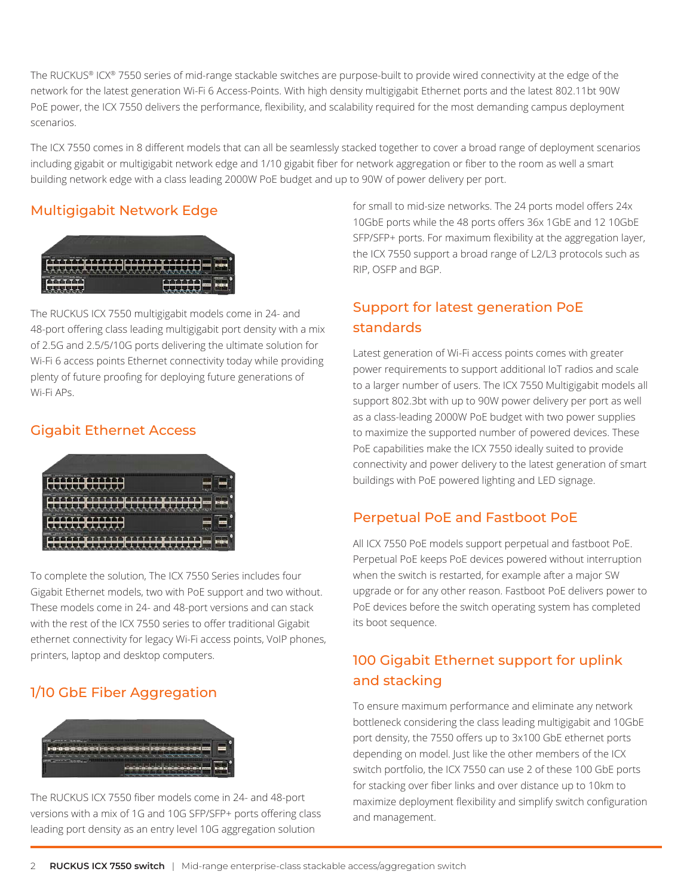The RUCKUS® ICX® 7550 series of mid-range stackable switches are purpose-built to provide wired connectivity at the edge of the network for the latest generation Wi-Fi 6 Access-Points. With high density multigigabit Ethernet ports and the latest 802.11bt 90W PoE power, the ICX 7550 delivers the performance, flexibility, and scalability required for the most demanding campus deployment scenarios.

The ICX 7550 comes in 8 different models that can all be seamlessly stacked together to cover a broad range of deployment scenarios including gigabit or multigigabit network edge and 1/10 gigabit fiber for network aggregation or fiber to the room as well a smart building network edge with a class leading 2000W PoE budget and up to 90W of power delivery per port.

### Multigigabit Network Edge



The RUCKUS ICX 7550 multigigabit models come in 24- and 48-port offering class leading multigigabit port density with a mix of 2.5G and 2.5/5/10G ports delivering the ultimate solution for Wi-Fi 6 access points Ethernet connectivity today while providing plenty of future proofing for deploying future generations of Wi-Fi APs.

### Gigabit Ethernet Access



To complete the solution, The ICX 7550 Series includes four Gigabit Ethernet models, two with PoE support and two without. These models come in 24- and 48-port versions and can stack with the rest of the ICX 7550 series to offer traditional Gigabit ethernet connectivity for legacy Wi-Fi access points, VoIP phones, printers, laptop and desktop computers.

### 1/10 GbE Fiber Aggregation



The RUCKUS ICX 7550 fiber models come in 24- and 48-port versions with a mix of 1G and 10G SFP/SFP+ ports offering class leading port density as an entry level 10G aggregation solution

for small to mid-size networks. The 24 ports model offers 24x 10GbE ports while the 48 ports offers 36x 1GbE and 12 10GbE SFP/SFP+ ports. For maximum flexibility at the aggregation layer, the ICX 7550 support a broad range of L2/L3 protocols such as RIP, OSFP and BGP.

## Support for latest generation PoE standards

Latest generation of Wi-Fi access points comes with greater power requirements to support additional IoT radios and scale to a larger number of users. The ICX 7550 Multigigabit models all support 802.3bt with up to 90W power delivery per port as well as a class-leading 2000W PoE budget with two power supplies to maximize the supported number of powered devices. These PoE capabilities make the ICX 7550 ideally suited to provide connectivity and power delivery to the latest generation of smart buildings with PoE powered lighting and LED signage.

### Perpetual PoE and Fastboot PoE

All ICX 7550 PoE models support perpetual and fastboot PoE. Perpetual PoE keeps PoE devices powered without interruption when the switch is restarted, for example after a major SW upgrade or for any other reason. Fastboot PoE delivers power to PoE devices before the switch operating system has completed its boot sequence.

## 100 Gigabit Ethernet support for uplink and stacking

To ensure maximum performance and eliminate any network bottleneck considering the class leading multigigabit and 10GbE port density, the 7550 offers up to 3x100 GbE ethernet ports depending on model. Just like the other members of the ICX switch portfolio, the ICX 7550 can use 2 of these 100 GbE ports for stacking over fiber links and over distance up to 10km to maximize deployment flexibility and simplify switch configuration and management.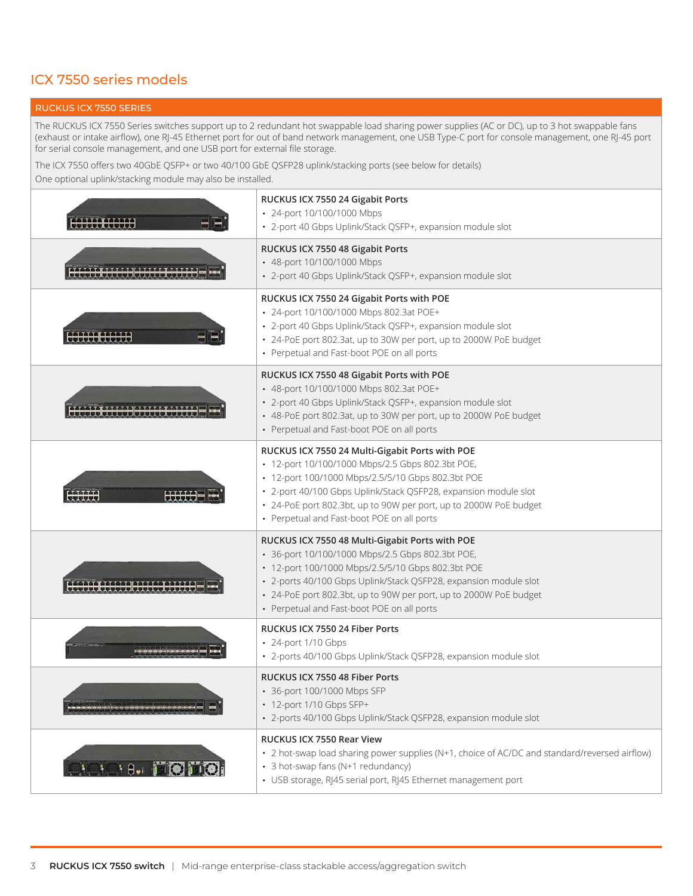### ICX 7550 series models

#### RUCKUS ICX 7550 SERIES

The RUCKUS ICX 7550 Series switches support up to 2 redundant hot swappable load sharing power supplies (AC or DC), up to 3 hot swappable fans (exhaust or intake airflow), one RJ-45 Ethernet port for out of band network management, one USB Type-C port for console management, one RJ-45 port for serial console management, and one USB port for external file storage.

The ICX 7550 offers two 40GbE QSFP+ or two 40/100 GbE QSFP28 uplink/stacking ports (see below for details)

One optional uplink/stacking module may also be installed.

|                   | RUCKUS ICX 7550 24 Gigabit Ports<br>• 24-port 10/100/1000 Mbps<br>• 2-port 40 Gbps Uplink/Stack QSFP+, expansion module slot                                                                                                                                                                                                                    |
|-------------------|-------------------------------------------------------------------------------------------------------------------------------------------------------------------------------------------------------------------------------------------------------------------------------------------------------------------------------------------------|
|                   | RUCKUS ICX 7550 48 Gigabit Ports<br>• 48-port 10/100/1000 Mbps<br>· 2-port 40 Gbps Uplink/Stack QSFP+, expansion module slot                                                                                                                                                                                                                    |
|                   | RUCKUS ICX 7550 24 Gigabit Ports with POE<br>• 24-port 10/100/1000 Mbps 802.3at POE+<br>• 2-port 40 Gbps Uplink/Stack QSFP+, expansion module slot<br>• 24-PoE port 802.3at, up to 30W per port, up to 2000W PoE budget<br>• Perpetual and Fast-boot POE on all ports                                                                           |
|                   | RUCKUS ICX 7550 48 Gigabit Ports with POE<br>• 48-port 10/100/1000 Mbps 802.3at POE+<br>· 2-port 40 Gbps Uplink/Stack QSFP+, expansion module slot<br>• 48-PoE port 802.3at, up to 30W per port, up to 2000W PoE budget<br>• Perpetual and Fast-boot POE on all ports                                                                           |
| iaaaaa<br>Ittutt  | RUCKUS ICX 7550 24 Multi-Gigabit Ports with POE<br>• 12-port 10/100/1000 Mbps/2.5 Gbps 802.3bt POE,<br>• 12-port 100/1000 Mbps/2.5/5/10 Gbps 802.3bt POE<br>· 2-port 40/100 Gbps Uplink/Stack QSFP28, expansion module slot<br>• 24-PoE port 802.3bt, up to 90W per port, up to 2000W PoE budget<br>• Perpetual and Fast-boot POE on all ports  |
|                   | RUCKUS ICX 7550 48 Multi-Gigabit Ports with POE<br>• 36-port 10/100/1000 Mbps/2.5 Gbps 802.3bt POE,<br>• 12-port 100/1000 Mbps/2.5/5/10 Gbps 802.3bt POE<br>· 2-ports 40/100 Gbps Uplink/Stack QSFP28, expansion module slot<br>• 24-PoE port 802.3bt, up to 90W per port, up to 2000W PoE budget<br>• Perpetual and Fast-boot POE on all ports |
|                   | RUCKUS ICX 7550 24 Fiber Ports<br>• 24-port 1/10 Gbps<br>· 2-ports 40/100 Gbps Uplink/Stack QSFP28, expansion module slot                                                                                                                                                                                                                       |
|                   | RUCKUS ICX 7550 48 Fiber Ports<br>• 36-port 100/1000 Mbps SFP<br>• 12-port 1/10 Gbps SFP+<br>· 2-ports 40/100 Gbps Uplink/Stack QSFP28, expansion module slot                                                                                                                                                                                   |
| $H_{\bullet}$ $R$ | RUCKUS ICX 7550 Rear View<br>• 2 hot-swap load sharing power supplies (N+1, choice of AC/DC and standard/reversed airflow)<br>• 3 hot-swap fans (N+1 redundancy)<br>• USB storage, RJ45 serial port, RJ45 Ethernet management port                                                                                                              |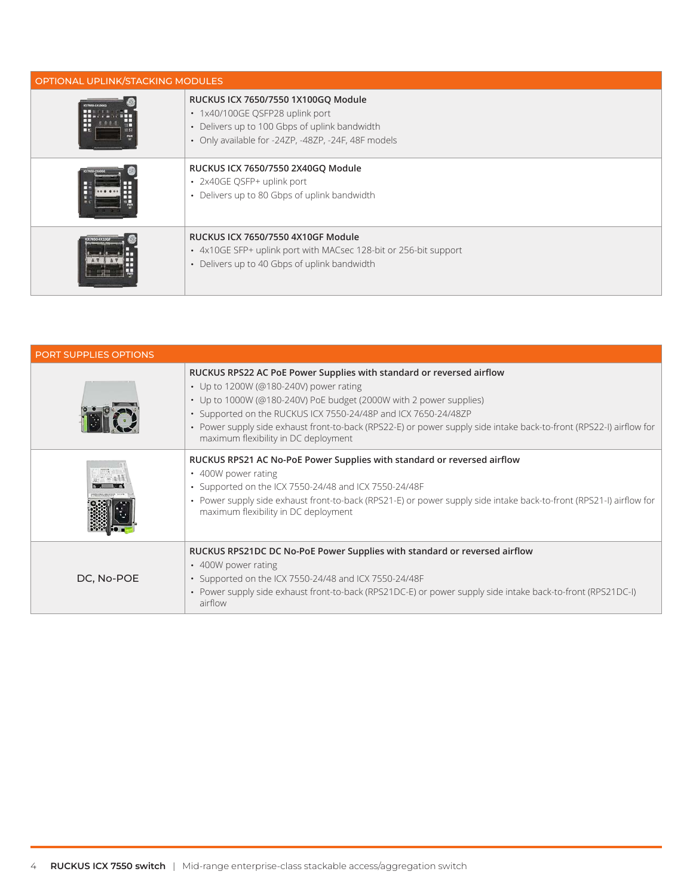| OPTIONAL UPLINK/STACKING MODULES |                                                                                                                                                                                |  |  |  |  |
|----------------------------------|--------------------------------------------------------------------------------------------------------------------------------------------------------------------------------|--|--|--|--|
| ᇚ                                | RUCKUS ICX 7650/7550 1X100GQ Module<br>• 1x40/100GE QSFP28 uplink port<br>• Delivers up to 100 Gbps of uplink bandwidth<br>• Only available for -24ZP, -48ZP, -24F, 48F models |  |  |  |  |
|                                  | RUCKUS ICX 7650/7550 2X40GQ Module<br>• 2x40GE QSFP+ uplink port<br>• Delivers up to 80 Gbps of uplink bandwidth                                                               |  |  |  |  |
|                                  | RUCKUS ICX 7650/7550 4X10GF Module<br>• 4x10GE SFP+ uplink port with MACsec 128-bit or 256-bit support<br>• Delivers up to 40 Gbps of uplink bandwidth                         |  |  |  |  |

| PORT SUPPLIES OPTIONS |                                                                                                                                                                                                                                                                                                                                                                                                                       |
|-----------------------|-----------------------------------------------------------------------------------------------------------------------------------------------------------------------------------------------------------------------------------------------------------------------------------------------------------------------------------------------------------------------------------------------------------------------|
|                       | RUCKUS RPS22 AC PoE Power Supplies with standard or reversed airflow<br>• Up to 1200W (@180-240V) power rating<br>• Up to 1000W (@180-240V) PoE budget (2000W with 2 power supplies)<br>• Supported on the RUCKUS ICX 7550-24/48P and ICX 7650-24/48ZP<br>• Power supply side exhaust front-to-back (RPS22-E) or power supply side intake back-to-front (RPS22-I) airflow for<br>maximum flexibility in DC deployment |
|                       | RUCKUS RPS21 AC No-PoE Power Supplies with standard or reversed airflow<br>• 400W power rating<br>• Supported on the ICX 7550-24/48 and ICX 7550-24/48F<br>• Power supply side exhaust front-to-back (RPS21-E) or power supply side intake back-to-front (RPS21-I) airflow for<br>maximum flexibility in DC deployment                                                                                                |
| DC, No-POE            | RUCKUS RPS21DC DC No-PoE Power Supplies with standard or reversed airflow<br>• 400W power rating<br>• Supported on the ICX 7550-24/48 and ICX 7550-24/48F<br>· Power supply side exhaust front-to-back (RPS21DC-E) or power supply side intake back-to-front (RPS21DC-I)<br>airflow                                                                                                                                   |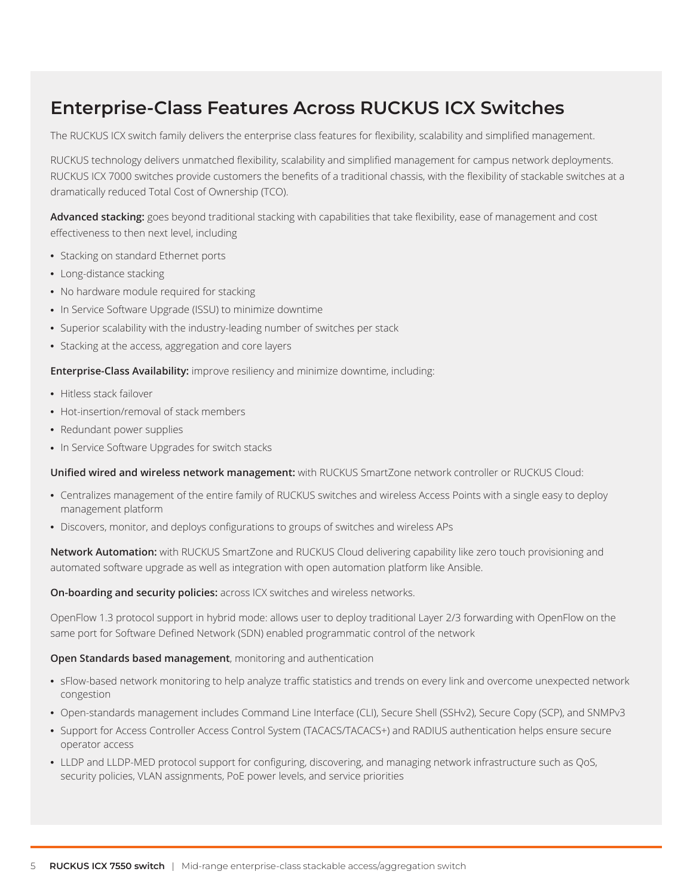## Enterprise-Class Features Across RUCKUS ICX Switches

The RUCKUS ICX switch family delivers the enterprise class features for flexibility, scalability and simplified management.

RUCKUS technology delivers unmatched flexibility, scalability and simplified management for campus network deployments. RUCKUS ICX 7000 switches provide customers the benefits of a traditional chassis, with the flexibility of stackable switches at a dramatically reduced Total Cost of Ownership (TCO).

Advanced stacking: goes beyond traditional stacking with capabilities that take flexibility, ease of management and cost effectiveness to then next level, including

- Stacking on standard Ethernet ports
- Long-distance stacking
- No hardware module required for stacking
- In Service Software Upgrade (ISSU) to minimize downtime
- Superior scalability with the industry-leading number of switches per stack
- Stacking at the access, aggregation and core layers

**Enterprise-Class Availability:** improve resiliency and minimize downtime, including:

- Hitless stack failover
- Hot-insertion/removal of stack members
- Redundant power supplies
- In Service Software Upgrades for switch stacks

**Unified wired and wireless network management:** with RUCKUS SmartZone network controller or RUCKUS Cloud:

- Centralizes management of the entire family of RUCKUS switches and wireless Access Points with a single easy to deploy management platform
- Discovers, monitor, and deploys configurations to groups of switches and wireless APs

**Network Automation:** with RUCKUS SmartZone and RUCKUS Cloud delivering capability like zero touch provisioning and automated software upgrade as well as integration with open automation platform like Ansible.

**On-boarding and security policies:** across ICX switches and wireless networks.

OpenFlow 1.3 protocol support in hybrid mode: allows user to deploy traditional Layer 2/3 forwarding with OpenFlow on the same port for Software Defined Network (SDN) enabled programmatic control of the network

#### **Open Standards based management**, monitoring and authentication

- sFlow-based network monitoring to help analyze traffic statistics and trends on every link and overcome unexpected network congestion
- Open-standards management includes Command Line Interface (CLI), Secure Shell (SSHv2), Secure Copy (SCP), and SNMPv3
- Support for Access Controller Access Control System (TACACS/TACACS+) and RADIUS authentication helps ensure secure operator access
- LLDP and LLDP-MED protocol support for configuring, discovering, and managing network infrastructure such as QoS, security policies, VLAN assignments, PoE power levels, and service priorities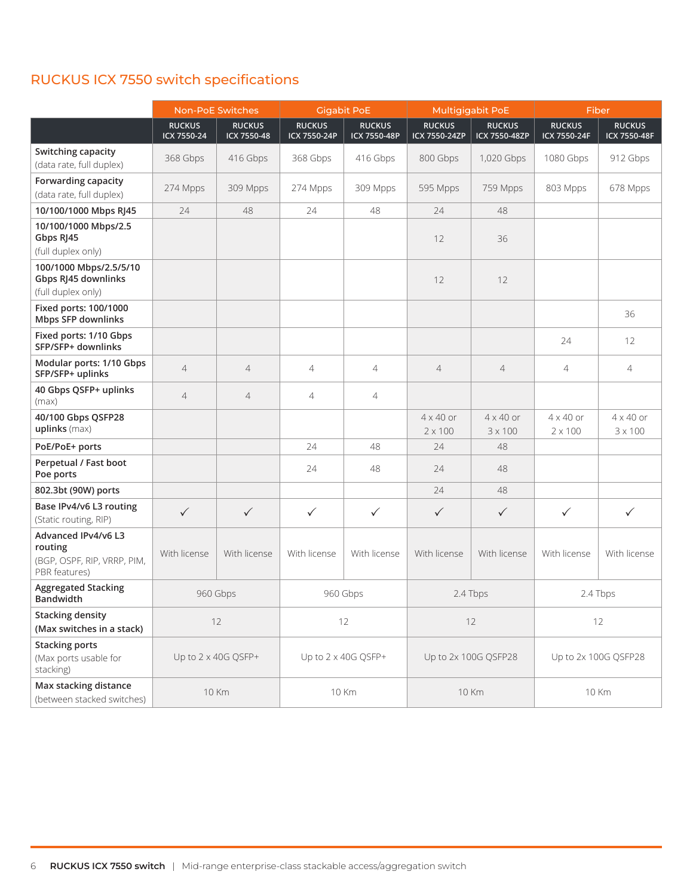|                                                                                | <b>Non-PoE Switches</b>      |                              | <b>Gigabit PoE</b>            |                               | Multigigabit PoE                   |                                    | Fiber                              |                                    |
|--------------------------------------------------------------------------------|------------------------------|------------------------------|-------------------------------|-------------------------------|------------------------------------|------------------------------------|------------------------------------|------------------------------------|
|                                                                                | <b>RUCKUS</b><br>ICX 7550-24 | <b>RUCKUS</b><br>ICX 7550-48 | <b>RUCKUS</b><br>ICX 7550-24P | <b>RUCKUS</b><br>ICX 7550-48P | <b>RUCKUS</b><br>ICX 7550-24ZP     | <b>RUCKUS</b><br>ICX 7550-48ZP     | <b>RUCKUS</b><br>ICX 7550-24F      | <b>RUCKUS</b><br>ICX 7550-48F      |
| Switching capacity<br>(data rate, full duplex)                                 | 368 Gbps                     | 416 Gbps                     | 368 Gbps                      | 416 Gbps                      | 800 Gbps                           | 1,020 Gbps                         | 1080 Gbps                          | 912 Gbps                           |
| Forwarding capacity<br>(data rate, full duplex)                                | 274 Mpps                     | 309 Mpps                     | 274 Mpps                      | 309 Mpps                      | 595 Mpps                           | 759 Mpps                           | 803 Mpps                           | 678 Mpps                           |
| 10/100/1000 Mbps RJ45                                                          | 24                           | 48                           | 24                            | 48                            | 24                                 | 48                                 |                                    |                                    |
| 10/100/1000 Mbps/2.5<br>Gbps RJ45<br>(full duplex only)                        |                              |                              |                               |                               | 12                                 | 36                                 |                                    |                                    |
| 100/1000 Mbps/2.5/5/10<br>Gbps RJ45 downlinks<br>(full duplex only)            |                              |                              |                               |                               | 12                                 | 12                                 |                                    |                                    |
| Fixed ports: 100/1000<br>Mbps SFP downlinks                                    |                              |                              |                               |                               |                                    |                                    |                                    | 36                                 |
| Fixed ports: 1/10 Gbps<br>SFP/SFP+ downlinks                                   |                              |                              |                               |                               |                                    |                                    | 24                                 | 12                                 |
| Modular ports: 1/10 Gbps<br>SFP/SFP+ uplinks                                   | $\overline{4}$               | $\overline{4}$               | $\overline{4}$                | $\overline{4}$                | $\overline{4}$                     | $\overline{4}$                     | $\overline{4}$                     | $\overline{4}$                     |
| 40 Gbps QSFP+ uplinks<br>(max)                                                 | $\overline{4}$               | $\overline{4}$               | $\overline{4}$                | $\overline{4}$                |                                    |                                    |                                    |                                    |
| 40/100 Gbps QSFP28<br>uplinks (max)                                            |                              |                              |                               |                               | $4 \times 40$ or<br>$2 \times 100$ | $4 \times 40$ or<br>$3 \times 100$ | $4 \times 40$ or<br>$2 \times 100$ | $4 \times 40$ or<br>$3 \times 100$ |
| PoE/PoE+ ports                                                                 |                              |                              | 24                            | 48                            | 24                                 | 48                                 |                                    |                                    |
| Perpetual / Fast boot<br>Poe ports                                             |                              |                              | 24                            | 48                            | 24                                 | 48                                 |                                    |                                    |
| 802.3bt (90W) ports                                                            |                              |                              |                               |                               | 24                                 | 48                                 |                                    |                                    |
| Base IPv4/v6 L3 routing<br>(Static routing, RIP)                               | $\checkmark$                 | $\checkmark$                 | $\checkmark$                  | $\checkmark$                  | $\checkmark$                       | $\checkmark$                       | $\checkmark$                       | $\checkmark$                       |
| Advanced IPv4/v6 L3<br>routing<br>(BGP, OSPF, RIP, VRRP, PIM,<br>PBR features) | With license                 | With license                 | With license                  | With license                  | With license                       | With license                       | With license                       | With license                       |
| <b>Aggregated Stacking</b><br><b>Bandwidth</b>                                 |                              | 960 Gbps                     | 960 Gbps                      |                               | 2.4 Tbps                           |                                    |                                    | 2.4 Tbps                           |
| <b>Stacking density</b><br>(Max switches in a stack)                           |                              | 12                           | 12                            |                               | 12                                 |                                    |                                    | 12                                 |
| <b>Stacking ports</b><br>(Max ports usable for<br>stacking)                    | Up to 2 x 40G QSFP+          |                              | Up to 2 x 40G QSFP+           |                               | Up to 2x 100G QSFP28               |                                    | Up to 2x 100G QSFP28               |                                    |
| Max stacking distance<br>(between stacked switches)                            | <b>10 Km</b>                 |                              |                               | <b>10 Km</b>                  |                                    | <b>10 Km</b>                       |                                    | <b>10 Km</b>                       |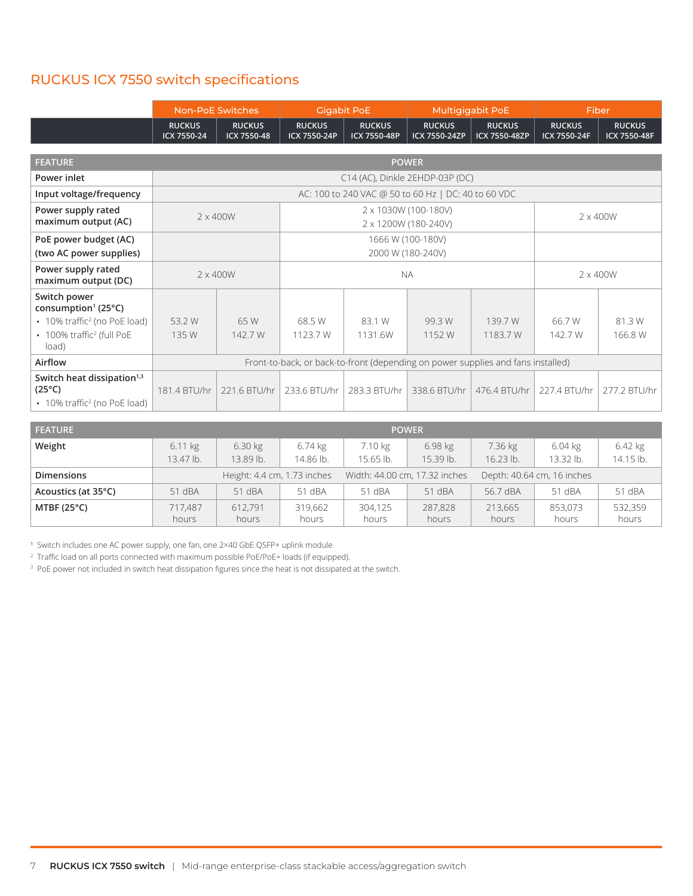|                                                                                                       | <b>Non-PoE Switches</b>                                                          |                              | <b>Gigabit PoE</b>            |                               | <b>Multigigabit PoE</b>                             |                                | Fiber                         |                               |
|-------------------------------------------------------------------------------------------------------|----------------------------------------------------------------------------------|------------------------------|-------------------------------|-------------------------------|-----------------------------------------------------|--------------------------------|-------------------------------|-------------------------------|
|                                                                                                       | <b>RUCKUS</b><br>ICX 7550-24                                                     | <b>RUCKUS</b><br>ICX 7550-48 | <b>RUCKUS</b><br>ICX 7550-24P | <b>RUCKUS</b><br>ICX 7550-48P | <b>RUCKUS</b><br>ICX 7550-24ZP                      | <b>RUCKUS</b><br>ICX 7550-48ZP | <b>RUCKUS</b><br>ICX 7550-24F | <b>RUCKUS</b><br>ICX 7550-48F |
|                                                                                                       |                                                                                  |                              |                               |                               |                                                     |                                |                               |                               |
| <b>FEATURE</b>                                                                                        |                                                                                  |                              |                               |                               | <b>POWER</b>                                        |                                |                               |                               |
| Power inlet                                                                                           |                                                                                  |                              |                               |                               | C14 (AC), Dinkle 2EHDP-03P (DC)                     |                                |                               |                               |
| Input voltage/frequency                                                                               |                                                                                  |                              |                               |                               | AC: 100 to 240 VAC @ 50 to 60 Hz   DC: 40 to 60 VDC |                                |                               |                               |
| Power supply rated<br>maximum output (AC)                                                             |                                                                                  | $2 \times 400W$              |                               |                               | 2 x 1030W (100-180V)<br>2 x 1200W (180-240V)        |                                |                               | $2 \times 400W$               |
| PoE power budget (AC)<br>(two AC power supplies)                                                      |                                                                                  |                              |                               |                               | 1666 W (100-180V)<br>2000 W (180-240V)              |                                |                               |                               |
| Power supply rated<br>maximum output (DC)                                                             | $2 \times 400W$                                                                  |                              | <b>NA</b>                     |                               |                                                     | $2 \times 400W$                |                               |                               |
| Switch power<br>consumption <sup>1</sup> (25°C)                                                       |                                                                                  |                              |                               |                               |                                                     |                                |                               |                               |
| • 10% traffic <sup>2</sup> (no PoE load)                                                              | 53.2 W                                                                           | 65 W                         | 68.5 W                        | 83.1 W                        | 99.3 W                                              | 139.7 W                        | 66.7 W                        | 81.3 W                        |
| • 100% traffic <sup>2</sup> (full PoE<br>load)                                                        | 135 W                                                                            | 142.7 W                      | 1123.7 W                      | 1131.6W                       | 1152 W                                              | 1183.7 W                       | 142.7 W                       | 166.8 W                       |
| Airflow                                                                                               | Front-to-back, or back-to-front (depending on power supplies and fans installed) |                              |                               |                               |                                                     |                                |                               |                               |
| Switch heat dissipation <sup>1,3</sup><br>$(25^{\circ}C)$<br>• 10% traffic <sup>2</sup> (no PoE load) | 181.4 BTU/hr                                                                     | 221.6 BTU/hr                 | 233.6 BTU/hr                  | 283.3 BTU/hr                  | 338.6 BTU/hr                                        | 476.4 BTU/hr                   | 227.4 BTU/hr                  | 277.2 BTU/hr                  |
|                                                                                                       |                                                                                  |                              |                               |                               |                                                     |                                |                               |                               |
| <b>FEATURE</b>                                                                                        |                                                                                  |                              |                               |                               | <b>POWER</b>                                        |                                |                               |                               |
| Weight                                                                                                | 611kq                                                                            | 630kg                        | 6.74 kg                       | 710 kg                        | 698 kg                                              | 736kg                          | 6.04k                         | 642 kg                        |

| _______              |                  |                             |                  |                  | .                             |                  |                            |                  |
|----------------------|------------------|-----------------------------|------------------|------------------|-------------------------------|------------------|----------------------------|------------------|
| Weight               | $6.11$ kg        | 6.30 kg                     | 6.74 kg          | 7.10 kg          | $6.98$ kg                     | 7.36 kg          | $6.04$ kg                  | $6.42$ kg        |
|                      | 13.47 lb.        | 13.89 lb.                   | 14.86 lb.        | 15.65 lb.        | 15.39 lb.                     | $16.23$ lb.      | 13.32 lb.                  | 14.15 lb.        |
| <b>Dimensions</b>    |                  | Height: 4.4 cm, 1.73 inches |                  |                  | Width: 44.00 cm, 17.32 inches |                  | Depth: 40.64 cm, 16 inches |                  |
| Acoustics (at 35°C)  | 51 dBA           | 51 dBA                      | 51 dBA           | 51 dBA           | 51 dBA                        | 56.7 dBA         | 51 dBA                     | 51 dBA           |
| MTBF $(25^{\circ}C)$ | 717.487<br>hours | 612.791<br>hours            | 319,662<br>hours | 304,125<br>hours | 287,828<br>hours              | 213,665<br>hours | 853,073<br>hours           | 532,359<br>hours |

<sup>1</sup> Switch includes one AC power supply, one fan, one 2×40 GbE QSFP+ uplink module

2 Traffic load on all ports connected with maximum possible PoE/PoE+ loads (if equipped).

3 PoE power not included in switch heat dissipation figures since the heat is not dissipated at the switch.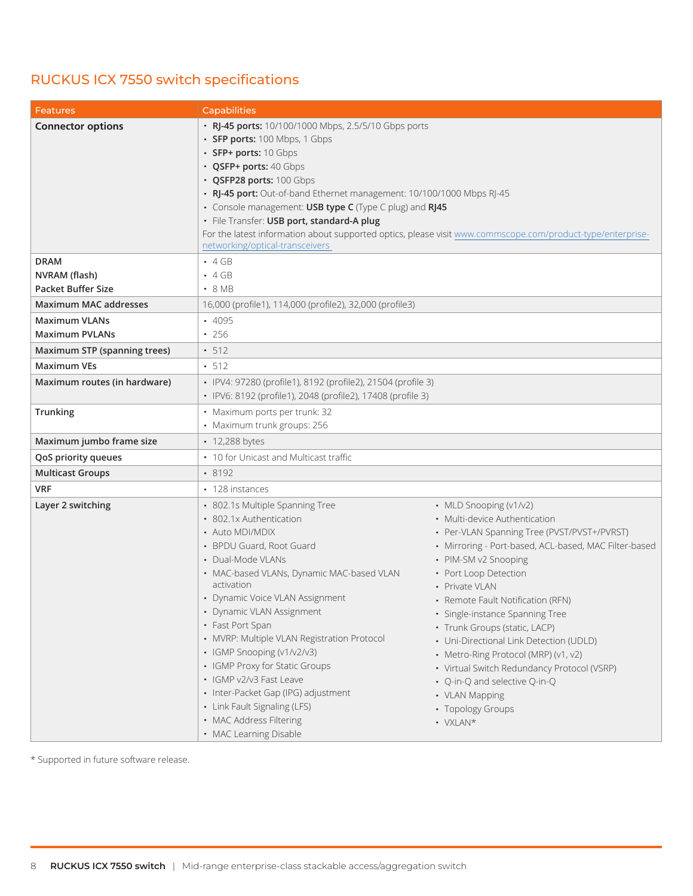\* Supported in future software release.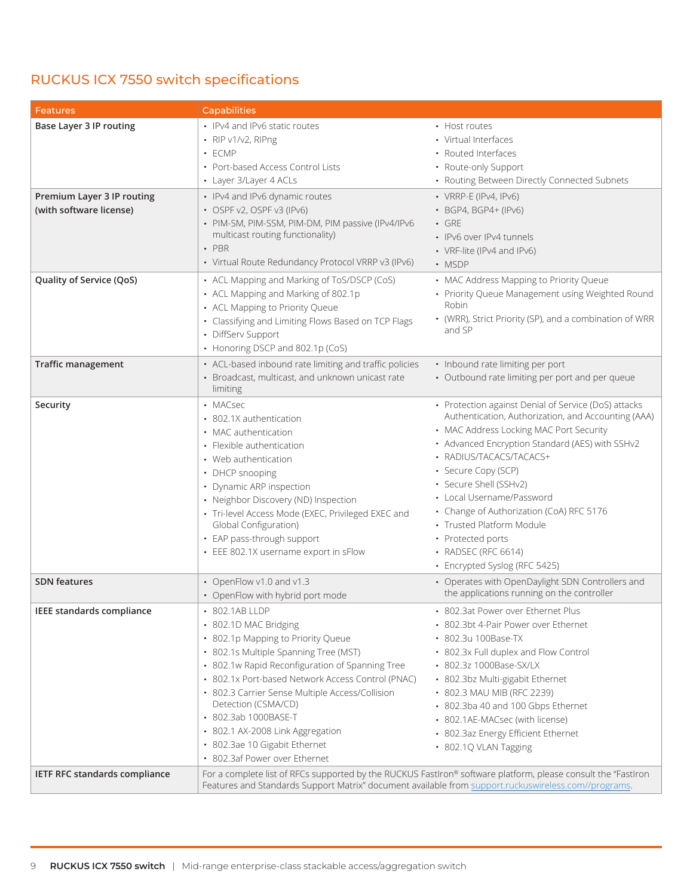| <b>Features</b>                                                                  | <b>Capabilities</b>                                                                                                                                                                                                                                                                                                                                                                                                                    |                                                                                                                                                                                                                                                                                                                                                                                                                                                                          |
|----------------------------------------------------------------------------------|----------------------------------------------------------------------------------------------------------------------------------------------------------------------------------------------------------------------------------------------------------------------------------------------------------------------------------------------------------------------------------------------------------------------------------------|--------------------------------------------------------------------------------------------------------------------------------------------------------------------------------------------------------------------------------------------------------------------------------------------------------------------------------------------------------------------------------------------------------------------------------------------------------------------------|
| Base Layer 3 IP routing<br>Premium Layer 3 IP routing<br>(with software license) | • IPv4 and IPv6 static routes<br>$\cdot$ RIP v1/v2, RIPng<br>· ECMP<br>• Port-based Access Control Lists<br>• Layer 3/Layer 4 ACLs<br>• IPv4 and IPv6 dynamic routes<br>• OSPF v2, OSPF v3 (IPv6)<br>· PIM-SM, PIM-SSM, PIM-DM, PIM passive (IPv4/IPv6                                                                                                                                                                                 | • Host routes<br>• Virtual Interfaces<br>• Routed Interfaces<br>• Route-only Support<br>• Routing Between Directly Connected Subnets<br>• VRRP-E (IPv4, IPv6)<br>• BGP4, BGP4+ (IPv6)<br>$\cdot$ GRE                                                                                                                                                                                                                                                                     |
|                                                                                  | multicast routing functionality)<br>$\cdot$ PBR<br>• Virtual Route Redundancy Protocol VRRP v3 (IPv6)                                                                                                                                                                                                                                                                                                                                  | • IPv6 over IPv4 tunnels<br>• VRF-lite (IPv4 and IPv6)<br>• MSDP                                                                                                                                                                                                                                                                                                                                                                                                         |
| Quality of Service (QoS)                                                         | • ACL Mapping and Marking of ToS/DSCP (CoS)<br>• ACL Mapping and Marking of 802.1p<br>• ACL Mapping to Priority Queue<br>• Classifying and Limiting Flows Based on TCP Flags<br>• DiffServ Support<br>• Honoring DSCP and 802.1p (CoS)                                                                                                                                                                                                 | • MAC Address Mapping to Priority Queue<br>• Priority Queue Management using Weighted Round<br>Robin<br>• (WRR), Strict Priority (SP), and a combination of WRR<br>and SP                                                                                                                                                                                                                                                                                                |
| <b>Traffic management</b>                                                        | • ACL-based inbound rate limiting and traffic policies<br>• Broadcast, multicast, and unknown unicast rate<br>limiting                                                                                                                                                                                                                                                                                                                 | • Inbound rate limiting per port<br>• Outbound rate limiting per port and per queue                                                                                                                                                                                                                                                                                                                                                                                      |
| Security                                                                         | • MACsec<br>• 802.1X authentication<br>• MAC authentication<br>• Flexible authentication<br>• Web authentication<br>• DHCP snooping<br>• Dynamic ARP inspection<br>• Neighbor Discovery (ND) Inspection<br>· Tri-level Access Mode (EXEC, Privileged EXEC and<br>Global Configuration)<br>• EAP pass-through support<br>• EEE 802.1X username export in sFlow                                                                          | • Protection against Denial of Service (DoS) attacks<br>Authentication, Authorization, and Accounting (AAA)<br>• MAC Address Locking MAC Port Security<br>• Advanced Encryption Standard (AES) with SSHv2<br>• RADIUS/TACACS/TACACS+<br>• Secure Copy (SCP)<br>• Secure Shell (SSHv2)<br>• Local Username/Password<br>• Change of Authorization (CoA) RFC 5176<br>• Trusted Platform Module<br>• Protected ports<br>• RADSEC (RFC 6614)<br>• Encrypted Syslog (RFC 5425) |
| <b>SDN</b> features                                                              | • OpenFlow v1.0 and v1.3<br>• OpenFlow with hybrid port mode                                                                                                                                                                                                                                                                                                                                                                           | • Operates with OpenDaylight SDN Controllers and<br>the applications running on the controller                                                                                                                                                                                                                                                                                                                                                                           |
| IEEE standards compliance                                                        | • 802.1AB LLDP<br>• 802.1D MAC Bridging<br>• 802.1p Mapping to Priority Queue<br>• 802.1s Multiple Spanning Tree (MST)<br>• 802.1w Rapid Reconfiguration of Spanning Tree<br>• 802.1x Port-based Network Access Control (PNAC)<br>• 802.3 Carrier Sense Multiple Access/Collision<br>Detection (CSMA/CD)<br>• 802.3ab 1000BASE-T<br>• 802.1 AX-2008 Link Aggregation<br>• 802.3ae 10 Gigabit Ethernet<br>• 802.3af Power over Ethernet | • 802.3at Power over Ethernet Plus<br>• 802.3bt 4-Pair Power over Ethernet<br>• 802.3u 100Base-TX<br>• 802.3x Full duplex and Flow Control<br>• 802.3z 1000Base-SX/LX<br>• 802.3bz Multi-gigabit Ethernet<br>• 802.3 MAU MIB (RFC 2239)<br>• 802.3ba 40 and 100 Gbps Ethernet<br>• 802.1AE-MACsec (with license)<br>• 802.3az Energy Efficient Ethernet<br>• 802.1Q VLAN Tagging                                                                                         |
| <b>IETF RFC standards compliance</b>                                             | Features and Standards Support Matrix" document available from support.ruckuswireless.com//programs.                                                                                                                                                                                                                                                                                                                                   | For a complete list of RFCs supported by the RUCKUS FastIron® software platform, please consult the "FastIron                                                                                                                                                                                                                                                                                                                                                            |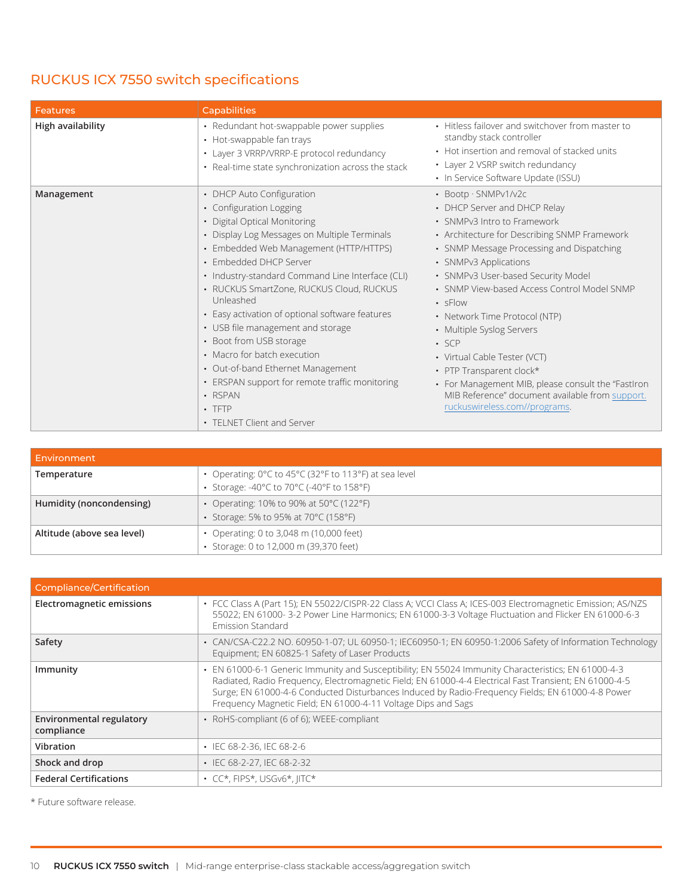| <b>Features</b>   | <b>Capabilities</b>                                                                                                                                                                                                                                                                                                                                                                                                                                                                                                                                                                                                      |                                                                                                                                                                                                                                                                                                                                                                                                                                                                                                                                                                                                    |
|-------------------|--------------------------------------------------------------------------------------------------------------------------------------------------------------------------------------------------------------------------------------------------------------------------------------------------------------------------------------------------------------------------------------------------------------------------------------------------------------------------------------------------------------------------------------------------------------------------------------------------------------------------|----------------------------------------------------------------------------------------------------------------------------------------------------------------------------------------------------------------------------------------------------------------------------------------------------------------------------------------------------------------------------------------------------------------------------------------------------------------------------------------------------------------------------------------------------------------------------------------------------|
| High availability | • Redundant hot-swappable power supplies<br>• Hot-swappable fan trays<br>• Layer 3 VRRP/VRRP-E protocol redundancy<br>• Real-time state synchronization across the stack                                                                                                                                                                                                                                                                                                                                                                                                                                                 | • Hitless failover and switchover from master to<br>standby stack controller<br>• Hot insertion and removal of stacked units<br>• Layer 2 VSRP switch redundancy<br>• In Service Software Update (ISSU)                                                                                                                                                                                                                                                                                                                                                                                            |
| Management        | • DHCP Auto Configuration<br>• Configuration Logging<br>• Digital Optical Monitoring<br>• Display Log Messages on Multiple Terminals<br>• Embedded Web Management (HTTP/HTTPS)<br>• Embedded DHCP Server<br>• Industry-standard Command Line Interface (CLI)<br>• RUCKUS SmartZone, RUCKUS Cloud, RUCKUS<br>Unleashed<br>• Easy activation of optional software features<br>• USB file management and storage<br>• Boot from USB storage<br>• Macro for batch execution<br>• Out-of-band Ethernet Management<br>• ERSPAN support for remote traffic monitoring<br>• RSPAN<br>$\cdot$ TFTP<br>• TFI NFT Client and Server | • Bootp · SNMPv1/v2c<br>• DHCP Server and DHCP Relay<br>• SNMPv3 Intro to Framework<br>• Architecture for Describing SNMP Framework<br>• SNMP Message Processing and Dispatching<br>• SNMPv3 Applications<br>• SNMPv3 User-based Security Model<br>• SNMP View-based Access Control Model SNMP<br>$\cdot$ sFlow<br>• Network Time Protocol (NTP)<br>• Multiple Syslog Servers<br>$\cdot$ SCP<br>• Virtual Cable Tester (VCT)<br>• PTP Transparent clock*<br>• For Management MIB, please consult the "FastIron<br>MIB Reference" document available from support.<br>ruckuswireless.com//programs. |

| Environment                |                                                                                                   |
|----------------------------|---------------------------------------------------------------------------------------------------|
| Temperature                | • Operating: 0°C to 45°C (32°F to 113°F) at sea level<br>Storage: -40°C to 70°C (-40°F to 158°F)  |
| Humidity (noncondensing)   | • Operating: 10% to 90% at 50 $\degree$ C (122 $\degree$ F)<br>Storage: 5% to 95% at 70°C (158°F) |
| Altitude (above sea level) | • Operating: 0 to 3,048 m (10,000 feet)<br>Storage: 0 to 12,000 m (39,370 feet)                   |

| Compliance/Certification                      |                                                                                                                                                                                                                                                                                                                                                                                    |
|-----------------------------------------------|------------------------------------------------------------------------------------------------------------------------------------------------------------------------------------------------------------------------------------------------------------------------------------------------------------------------------------------------------------------------------------|
| Electromagnetic emissions                     | · FCC Class A (Part 15); EN 55022/CISPR-22 Class A; VCCI Class A; ICES-003 Electromagnetic Emission; AS/NZS<br>55022; EN 61000-3-2 Power Line Harmonics; EN 61000-3-3 Voltage Fluctuation and Flicker EN 61000-6-3<br><b>Emission Standard</b>                                                                                                                                     |
| Safety                                        | • CAN/CSA-C22.2 NO. 60950-1-07; UL 60950-1; IEC60950-1; EN 60950-1:2006 Safety of Information Technology<br>Equipment; EN 60825-1 Safety of Laser Products                                                                                                                                                                                                                         |
| Immunity                                      | • EN 61000-6-1 Generic Immunity and Susceptibility; EN 55024 Immunity Characteristics; EN 61000-4-3<br>Radiated, Radio Frequency, Electromagnetic Field; EN 61000-4-4 Electrical Fast Transient; EN 61000-4-5<br>Surge; EN 61000-4-6 Conducted Disturbances Induced by Radio-Frequency Fields; EN 61000-4-8 Power<br>Frequency Magnetic Field; EN 61000-4-11 Voltage Dips and Sags |
| <b>Environmental regulatory</b><br>compliance | • RoHS-compliant (6 of 6); WEEE-compliant                                                                                                                                                                                                                                                                                                                                          |
| Vibration                                     | $\cdot$ IEC 68-2-36, IEC 68-2-6                                                                                                                                                                                                                                                                                                                                                    |
| Shock and drop                                | • IEC 68-2-27, IEC 68-2-32                                                                                                                                                                                                                                                                                                                                                         |
| <b>Federal Certifications</b>                 | $\cdot$ CC*, FIPS*, USGv6*, IITC*                                                                                                                                                                                                                                                                                                                                                  |

\* Future software release.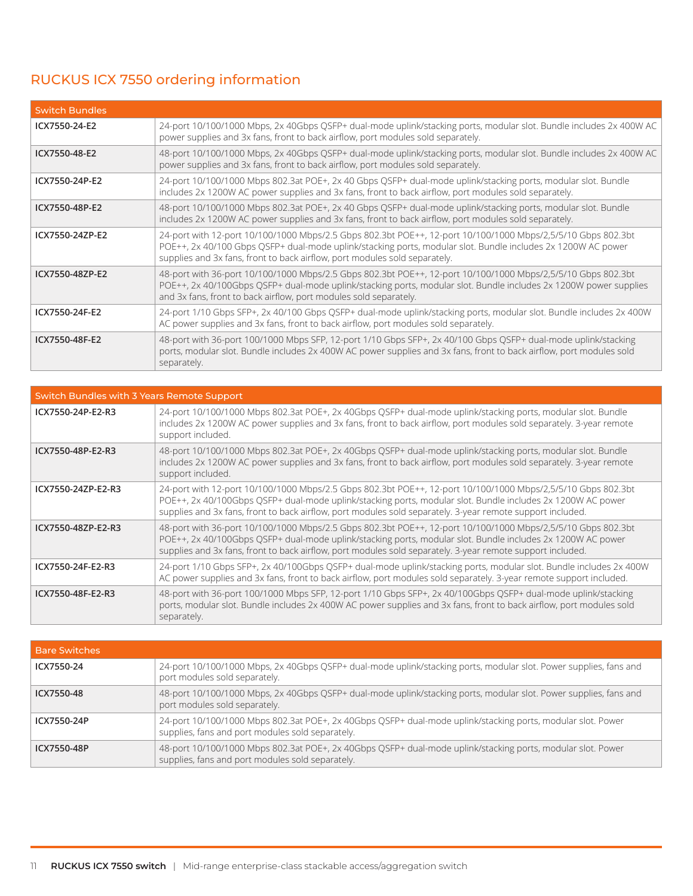## RUCKUS ICX 7550 ordering information

| <b>Switch Bundles</b> |                                                                                                                                                                                                                                                                                                            |
|-----------------------|------------------------------------------------------------------------------------------------------------------------------------------------------------------------------------------------------------------------------------------------------------------------------------------------------------|
| ICX7550-24-E2         | 24-port 10/100/1000 Mbps, 2x 40Gbps QSFP+ dual-mode uplink/stacking ports, modular slot. Bundle includes 2x 400W AC<br>power supplies and 3x fans, front to back airflow, port modules sold separately.                                                                                                    |
| ICX7550-48-E2         | 48-port 10/100/1000 Mbps, 2x 40Gbps QSFP+ dual-mode uplink/stacking ports, modular slot. Bundle includes 2x 400W AC<br>power supplies and 3x fans, front to back airflow, port modules sold separately.                                                                                                    |
| ICX7550-24P-E2        | 24-port 10/100/1000 Mbps 802.3at POE+, 2x 40 Gbps QSFP+ dual-mode uplink/stacking ports, modular slot. Bundle<br>includes 2x 1200W AC power supplies and 3x fans, front to back airflow, port modules sold separately.                                                                                     |
| ICX7550-48P-E2        | 48-port 10/100/1000 Mbps 802.3at POE+, 2x 40 Gbps QSFP+ dual-mode uplink/stacking ports, modular slot. Bundle<br>includes 2x 1200W AC power supplies and 3x fans, front to back airflow, port modules sold separately.                                                                                     |
| ICX7550-24ZP-E2       | 24-port with 12-port 10/100/1000 Mbps/2.5 Gbps 802.3bt POE++, 12-port 10/100/1000 Mbps/2,5/5/10 Gbps 802.3bt<br>POE++, 2x 40/100 Gbps QSFP+ dual-mode uplink/stacking ports, modular slot. Bundle includes 2x 1200W AC power<br>supplies and 3x fans, front to back airflow, port modules sold separately. |
| ICX7550-48ZP-E2       | 48-port with 36-port 10/100/1000 Mbps/2.5 Gbps 802.3bt POE++, 12-port 10/100/1000 Mbps/2,5/5/10 Gbps 802.3bt<br>POE++, 2x 40/100Gbps QSFP+ dual-mode uplink/stacking ports, modular slot. Bundle includes 2x 1200W power supplies<br>and 3x fans, front to back airflow, port modules sold separately.     |
| ICX7550-24F-E2        | 24-port 1/10 Gbps SFP+, 2x 40/100 Gbps QSFP+ dual-mode uplink/stacking ports, modular slot. Bundle includes 2x 400W<br>AC power supplies and 3x fans, front to back airflow, port modules sold separately.                                                                                                 |
| ICX7550-48F-E2        | 48-port with 36-port 100/1000 Mbps SFP, 12-port 1/10 Gbps SFP+, 2x 40/100 Gbps QSFP+ dual-mode uplink/stacking<br>ports, modular slot. Bundle includes 2x 400W AC power supplies and 3x fans, front to back airflow, port modules sold<br>separately.                                                      |

| Switch Bundles with 3 Years Remote Support |                                                                                                                                                                                                                                                                                                                                           |
|--------------------------------------------|-------------------------------------------------------------------------------------------------------------------------------------------------------------------------------------------------------------------------------------------------------------------------------------------------------------------------------------------|
| ICX7550-24P-E2-R3                          | 24-port 10/100/1000 Mbps 802.3at POE+, 2x 40Gbps QSFP+ dual-mode uplink/stacking ports, modular slot. Bundle<br>includes 2x 1200W AC power supplies and 3x fans, front to back airflow, port modules sold separately. 3-year remote<br>support included.                                                                                  |
| ICX7550-48P-E2-R3                          | 48-port 10/100/1000 Mbps 802.3at POE+, 2x 40Gbps QSFP+ dual-mode uplink/stacking ports, modular slot. Bundle<br>includes 2x 1200W AC power supplies and 3x fans, front to back airflow, port modules sold separately. 3-year remote<br>support included.                                                                                  |
| ICX7550-24ZP-E2-R3                         | 24-port with 12-port 10/100/1000 Mbps/2.5 Gbps 802.3bt POE++, 12-port 10/100/1000 Mbps/2,5/5/10 Gbps 802.3bt<br>POE++, 2x 40/100Gbps QSFP+ dual-mode uplink/stacking ports, modular slot. Bundle includes 2x 1200W AC power<br>supplies and 3x fans, front to back airflow, port modules sold separately. 3-year remote support included. |
| ICX7550-48ZP-E2-R3                         | 48-port with 36-port 10/100/1000 Mbps/2.5 Gbps 802.3bt POE++, 12-port 10/100/1000 Mbps/2,5/5/10 Gbps 802.3bt<br>POE++, 2x 40/100Gbps QSFP+ dual-mode uplink/stacking ports, modular slot. Bundle includes 2x 1200W AC power<br>supplies and 3x fans, front to back airflow, port modules sold separately. 3-year remote support included. |
| ICX7550-24F-E2-R3                          | 24-port 1/10 Gbps SFP+, 2x 40/100Gbps QSFP+ dual-mode uplink/stacking ports, modular slot. Bundle includes 2x 400W<br>AC power supplies and 3x fans, front to back airflow, port modules sold separately. 3-year remote support included.                                                                                                 |
| ICX7550-48F-E2-R3                          | 48-port with 36-port 100/1000 Mbps SFP, 12-port 1/10 Gbps SFP+, 2x 40/100Gbps QSFP+ dual-mode uplink/stacking<br>ports, modular slot. Bundle includes 2x 400W AC power supplies and 3x fans, front to back airflow, port modules sold<br>separately.                                                                                      |

| <b>Bare Switches</b> |                                                                                                                                                                 |
|----------------------|-----------------------------------------------------------------------------------------------------------------------------------------------------------------|
| ICX7550-24           | 24-port 10/100/1000 Mbps, 2x 40Gbps QSFP+ dual-mode uplink/stacking ports, modular slot. Power supplies, fans and<br>port modules sold separately.              |
| ICX7550-48           | 48-port 10/100/1000 Mbps, 2x 40Gbps QSFP+ dual-mode uplink/stacking ports, modular slot. Power supplies, fans and<br>port modules sold separately.              |
| ICX7550-24P          | 24-port 10/100/1000 Mbps 802.3at POE+, 2x 40Gbps QSFP+ dual-mode uplink/stacking ports, modular slot. Power<br>supplies, fans and port modules sold separately. |
| ICX7550-48P          | 48-port 10/100/1000 Mbps 802.3at POE+, 2x 40Gbps QSFP+ dual-mode uplink/stacking ports, modular slot. Power<br>supplies, fans and port modules sold separately. |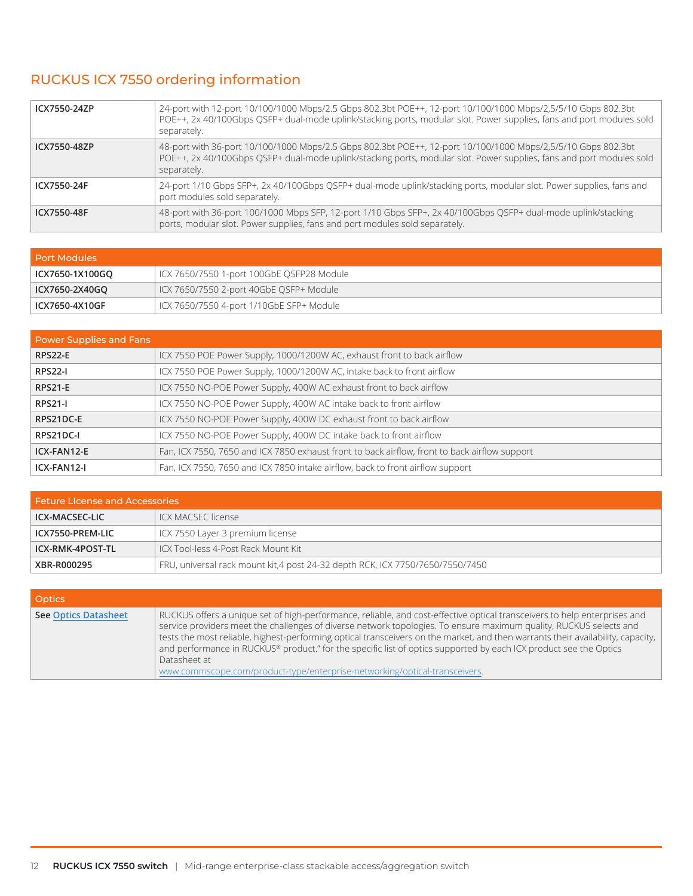## RUCKUS ICX 7550 ordering information

| ICX7550-24ZP | 24-port with 12-port 10/100/1000 Mbps/2.5 Gbps 802.3bt POE++, 12-port 10/100/1000 Mbps/2,5/5/10 Gbps 802.3bt<br>POE++, 2x 40/100Gbps QSFP+ dual-mode uplink/stacking ports, modular slot. Power supplies, fans and port modules sold<br>separately. |
|--------------|-----------------------------------------------------------------------------------------------------------------------------------------------------------------------------------------------------------------------------------------------------|
| ICX7550-48ZP | 48-port with 36-port 10/100/1000 Mbps/2.5 Gbps 802.3bt POE++, 12-port 10/100/1000 Mbps/2,5/5/10 Gbps 802.3bt<br>POE++, 2x 40/100Gbps QSFP+ dual-mode uplink/stacking ports, modular slot. Power supplies, fans and port modules sold<br>separately. |
| ICX7550-24F  | 24-port 1/10 Gbps SFP+, 2x 40/100Gbps QSFP+ dual-mode uplink/stacking ports, modular slot. Power supplies, fans and<br>port modules sold separately.                                                                                                |
| ICX7550-48F  | 48-port with 36-port 100/1000 Mbps SFP, 12-port 1/10 Gbps SFP+, 2x 40/100Gbps QSFP+ dual-mode uplink/stacking<br>ports, modular slot. Power supplies, fans and port modules sold separately.                                                        |

| Port Modules    |                                           |
|-----------------|-------------------------------------------|
| ICX7650-1X100GO | ICX 7650/7550 1-port 100GbE OSFP28 Module |
| ICX7650-2X40GO  | ICX 7650/7550 2-port 40GbE QSFP+ Module   |
| ICX7650-4X10GF  | ICX 7650/7550 4-port 1/10GbE SFP+ Module  |

| <b>Power Supplies and Fans</b> |                                                                                               |
|--------------------------------|-----------------------------------------------------------------------------------------------|
| <b>RPS22-E</b>                 | ICX 7550 POE Power Supply, 1000/1200W AC, exhaust front to back airflow                       |
| <b>RPS22-I</b>                 | ICX 7550 POE Power Supply, 1000/1200W AC, intake back to front airflow                        |
| <b>RPS21-E</b>                 | ICX 7550 NO-POE Power Supply, 400W AC exhaust front to back airflow                           |
| <b>RPS21-I</b>                 | ICX 7550 NO-POE Power Supply, 400W AC intake back to front airflow                            |
| RPS21DC-E                      | ICX 7550 NO-POE Power Supply, 400W DC exhaust front to back airflow                           |
| RPS21DC-I                      | ICX 7550 NO-POE Power Supply, 400W DC intake back to front airflow                            |
| ICX-FAN12-E                    | Fan, ICX 7550, 7650 and ICX 7850 exhaust front to back airflow, front to back airflow support |
| ICX-FAN12-I                    | Fan, ICX 7550, 7650 and ICX 7850 intake airflow, back to front airflow support                |

| <b>Feture License and Accessories</b> |                                                                               |
|---------------------------------------|-------------------------------------------------------------------------------|
| ICX-MACSEC-LIC                        | ICX MACSEC license                                                            |
| ICX7550-PREM-LIC                      | ICX 7550 Layer 3 premium license                                              |
| ICX-RMK-4POST-TL                      | ICX Tool-less 4-Post Rack Mount Kit                                           |
| XBR-R000295                           | FRU, universal rack mount kit,4 post 24-32 depth RCK, ICX 7750/7650/7550/7450 |

| Optics                      |                                                                                                                                                                                                                                                                                                                                                                                                                                                                                                                                                                                                       |
|-----------------------------|-------------------------------------------------------------------------------------------------------------------------------------------------------------------------------------------------------------------------------------------------------------------------------------------------------------------------------------------------------------------------------------------------------------------------------------------------------------------------------------------------------------------------------------------------------------------------------------------------------|
| <b>See Optics Datasheet</b> | RUCKUS offers a unique set of high-performance, reliable, and cost-effective optical transceivers to help enterprises and<br>service providers meet the challenges of diverse network topologies. To ensure maximum quality, RUCKUS selects and<br>tests the most reliable, highest-performing optical transceivers on the market, and then warrants their availability, capacity,<br>and performance in RUCKUS® product." for the specific list of optics supported by each ICX product see the Optics<br>Datasheet at<br>www.commscope.com/product-type/enterprise-networking/optical-transceivers. |